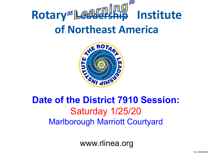



### **Date of the District 7910 Session:**  Saturday 1/25/20 Marlborough Marriott Courtyard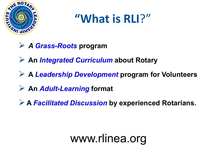

## **"What is RLI**?"

- *A Grass-Roots* **program**
- **An** *Integrated Curriculum* **about Rotary**
- **A** *Leadership Development* **program for Volunteers**
- **An** *Adult-Learning* **format**
- **A** *Facilitated Discussion* **by experienced Rotarians.**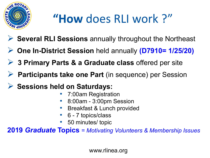

## **"How** does RLI work ?"

- **Several RLI Sessions** annually throughout the Northeast
- **One In-District Session** held annually **(D7910= 1/25/20)**
- **2 3 Primary Parts & a Graduate class offered per site**
- **Participants take one Part** (in sequence) per Session
- **Sessions held on Saturdays:** 
	- 7:00am Registration
	- 8:00am 3:00pm Session
	- Breakfast & Lunch provided
	- 6 7 topics/class
	- 50 minutes/ topic

**2019** *Graduate* **Topics** = *Motivating Volunteers & Membership Issues*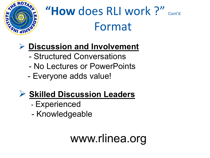

## "How does RLI work ?" Cont'd Format

### **Discussion and Involvement**

- Structured Conversations
- No Lectures or PowerPoints
- Everyone adds value!

### **Skilled Discussion Leaders**

- Experienced
- Knowledgeable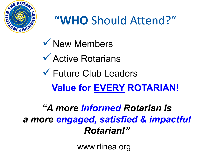

## **"WHO** Should Attend?"

**√ New Members** Active Rotarians Future Club Leaders **Value for EVERY ROTARIAN!**

*"A more informed Rotarian is a more engaged, satisfied & impactful Rotarian!"*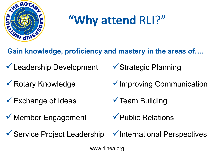

## **"Why attend** RLI?"

**Gain knowledge, proficiency and mastery in the areas of….**

- Leadership Development
- **▼ Rotary Knowledge**
- Exchange of Ideas
- ◆ Member Engagement
- ◆ Service Project Leadership
- **√ Strategic Planning**
- $\checkmark$  Improving Communication
- $\checkmark$  Team Building
- Public Relations
- $\checkmark$  International Perspectives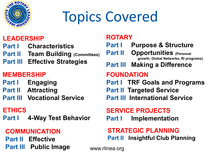

# Topics Covered

#### **LEADERSHIP**

- **Part I Characteristics**
- **Part II Team Building (Committees)**
- **Part III Effective Strategies**

### **MEMBERSHIP**

- **Part I** Engaging
- **Part II Attracting**
- **Part III Vocational Service**

#### **ETHICS**

**Part I 4-Way Test Behavior**

#### **COMMUNICATION**

**Part II Effective Part III Public Image**

#### **ROTARY**

**Part I Purpose & Structure Part II Opportunities (Personal growth, Global Networks, RI programs) Part III Making a Difference FOUNDATION Part I TRF Goals and Programs Part II Targeted Service Part III International Service SERVICE PROJECTS**

### **Part I** Implementation

#### **STRATEGIC PLANNING Part II Insightful Club Planning**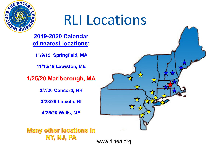# RLI Locations



AWE ROTAR

**HELENGAL CRISP** 

**11/9/19 Springfield, MA**

**11/16/19 Lewiston, ME**

**1/25/20 Marlborough, MA**

**3/7/20 Concord, NH**

**3/28/20 Lincoln, RI**

**4/25/20 Wells, ME**

**Many other locations in** NY, NJ, PA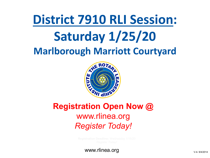## **District 7910 RLI Session: Saturday 1/25/20 Marlborough Marriott Courtyard**



### **Registration Open Now @**  www.rlinea.org *Register Today!*

www.rlinea.org  $\frac{1}{2}$  v-4- 9/4/2014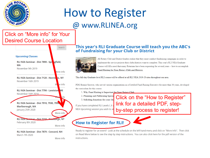

### How to Register @ www.RLINEA.org

#### Click on "More info" for Your Desired Course Location



RLI NEA Seminar - Dist 7870 - Concord, NH March 7th 2020

More info

#### This year's RLI Graduate Course will teach you the ABC's of Fundraising for your Club or District



All Rotary Club and District leaders realize that they must conduct fundraising campaigns in order to implement the service projects their clubs/districts want to complete. This year's RLI NEA Graduate Course will fill a need that many Rotarians have been requesting for several years -- how to accomplish Fund Raising for Your Rotary Club and District.

This full-day Graduate-level RLI course will be offered at all RLI NEA 2019-20 sites throughout our area.

PDG Bonnie Sirower, who served various organizations as a Certified Fund-Raising Executive for more than 36 years, developed the curriculum for this course

- 1. Why Fund Raising is Important for Your Rotary Club
- 2. Planning and Publicizing Special 3. Soliciting donations for your clu

If you have completed RLI Levels I, II NEA Upcoming session you wish to a

Click on the "How to Register" link for a detailed PDF, stepby-step process to register!

#### **How to Register for RLI!**

Ready to register for an event? Look at the schedule on the left hand menu and click on "More Info". Then click on Read More below to see the step by step instructions. You can also click here for the pdf version of the instructions.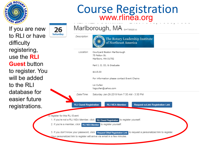

# Course Registration www.rlinea.org